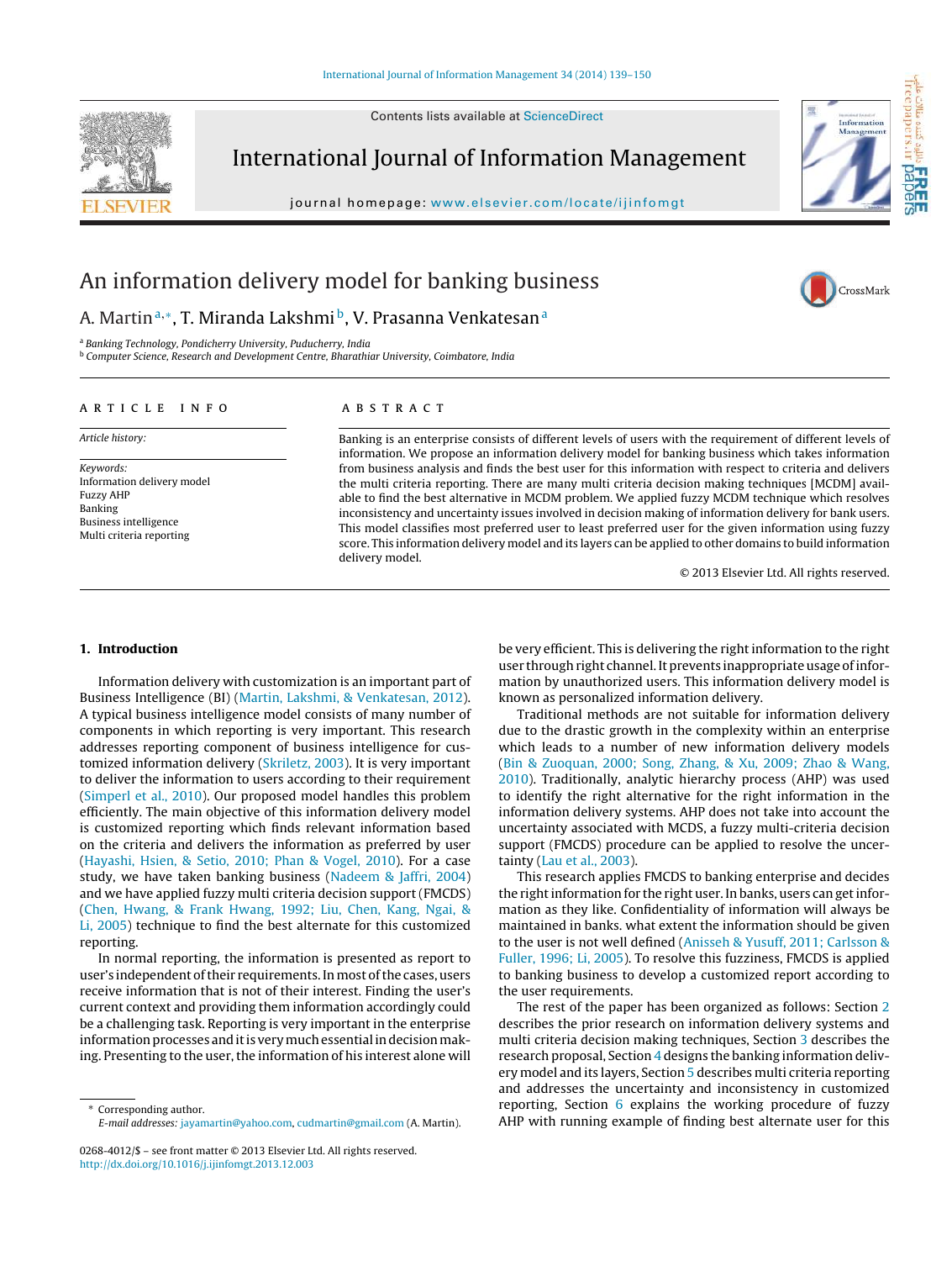Contents lists available at [ScienceDirect](http://www.sciencedirect.com/science/journal/02684012)



International Journal of Information Management

iournal homepage: [www.elsevier.com/locate/ijinfomgt](http://www.elsevier.com/locate/ijinfomgt)



CrossMark

# An information delivery model for banking business

A. Martin<sup>a,∗</sup>, T. Miranda Lakshmi<sup>b</sup>, V. Prasanna Venkatesan<sup>a</sup>

<sup>a</sup> Banking Technology, Pondicherry University, Puducherry, India **b** Computer Science, Research and Development Centre, Bharathiar University, Coimbatore, India

a r t i c l e i n f o

Information delivery model

Business intelligence Multi criteria reporting

Article history:

Keywords:

Fuzzy AHP Banking

# A B S T R A C T

Banking is an enterprise consists of different levels of users with the requirement of different levels of information. We propose an information delivery model for banking business which takes information from business analysis and finds the best user for this information with respect to criteria and delivers the multi criteria reporting. There are many multi criteria decision making techniques [MCDM] available to find the best alternative in MCDM problem. We applied fuzzy MCDM technique which resolves inconsistency and uncertainty issues involved in decision making of information delivery for bank users. This model classifies most preferred user to least preferred user for the given information using fuzzy score. This information delivery model and its layers can be applied to other domains to build information delivery model.

© 2013 Elsevier Ltd. All rights reserved.

#### **1. Introduction**

Information delivery with customization is an important part of Business Intelligence (BI) [\(Martin,](#page-11-0) [Lakshmi,](#page-11-0) [&](#page-11-0) [Venkatesan,](#page-11-0) [2012\).](#page-11-0) A typical business intelligence model consists of many number of components in which reporting is very important. This research addresses reporting component of business intelligence for customized information delivery ([Skriletz,](#page-11-0) [2003\).](#page-11-0) It is very important to deliver the information to users according to their requirement ([Simperl](#page-11-0) et [al.,](#page-11-0) [2010\).](#page-11-0) Our proposed model handles this problem efficiently. The main objective of this information delivery model is customized reporting which finds relevant information based on the criteria and delivers the information as preferred by user ([Hayashi,](#page-11-0) [Hsien,](#page-11-0) [&](#page-11-0) [Setio,](#page-11-0) [2010;](#page-11-0) [Phan](#page-11-0) [&](#page-11-0) [Vogel,](#page-11-0) [2010\).](#page-11-0) For a case study, we have taken banking business [\(Nadeem](#page-11-0) [&](#page-11-0) [Jaffri,](#page-11-0) [2004\)](#page-11-0) and we have applied fuzzy multi criteria decision support (FMCDS) ([Chen,](#page-11-0) [Hwang,](#page-11-0) [&](#page-11-0) [Frank](#page-11-0) [Hwang,](#page-11-0) [1992;](#page-11-0) [Liu,](#page-11-0) [Chen,](#page-11-0) [Kang,](#page-11-0) [Ngai,](#page-11-0) [&](#page-11-0) [Li,](#page-11-0) [2005\)](#page-11-0) technique to find the best alternate for this customized reporting.

In normal reporting, the information is presented as report to user's independent of their requirements. In most of the cases, users receive information that is not of their interest. Finding the user's current context and providing them information accordingly could be a challenging task. Reporting is very important in the enterprise information processes and it is very much essential in decision making. Presenting to the user, the information of his interest alone will

be very efficient. This is delivering the right information to the right user through right channel. It prevents inappropriate usage of information by unauthorized users. This information delivery model is known as personalized information delivery.

Traditional methods are not suitable for information delivery due to the drastic growth in the complexity within an enterprise which leads to a number of new information delivery models [\(Bin](#page-11-0) [&](#page-11-0) [Zuoquan,](#page-11-0) [2000;](#page-11-0) [Song,](#page-11-0) [Zhang,](#page-11-0) [&](#page-11-0) [Xu,](#page-11-0) [2009;](#page-11-0) [Zhao](#page-11-0) [&](#page-11-0) [Wang,](#page-11-0) [2010\).](#page-11-0) Traditionally, analytic hierarchy process (AHP) was used to identify the right alternative for the right information in the information delivery systems. AHP does not take into account the uncertainty associated with MCDS, a fuzzy multi-criteria decision support (FMCDS) procedure can be applied to resolve the uncertainty ([Lau](#page-11-0) et [al.,](#page-11-0) [2003\).](#page-11-0)

This research applies FMCDS to banking enterprise and decides the right information for the right user. In banks, users can get information as they like. Confidentiality of information will always be maintained in banks. what extent the information should be given to the user is not well defined [\(Anisseh](#page-11-0) [&](#page-11-0) [Yusuff,](#page-11-0) [2011;](#page-11-0) [Carlsson](#page-11-0) [&](#page-11-0) [Fuller,](#page-11-0) [1996;](#page-11-0) [Li,](#page-11-0) [2005\).](#page-11-0) To resolve this fuzziness, FMCDS is applied to banking business to develop a customized report according to the user requirements.

The rest of the paper has been organized as follows: Section [2](#page-1-0) describes the prior research on information delivery systems and multi criteria decision making techniques, Section [3](#page-3-0) describes the research proposal, Section [4](#page-3-0) designs the banking information delivery model and its layers, Section [5](#page-4-0) describes multi criteria reporting and addresses the uncertainty and inconsistency in customized reporting, Section [6](#page-4-0) explains the working procedure of fuzzy AHP with running example of finding best alternate user for this

Corresponding author. E-mail addresses: [jayamartin@yahoo.com](mailto:jayamartin@yahoo.com), [cudmartin@gmail.com](mailto:cudmartin@gmail.com) (A. Martin).

<sup>0268-4012/\$</sup> – see front matter © 2013 Elsevier Ltd. All rights reserved. [http://dx.doi.org/10.1016/j.ijinfomgt.2013.12.003](dx.doi.org/10.1016/j.ijinfomgt.2013.12.003)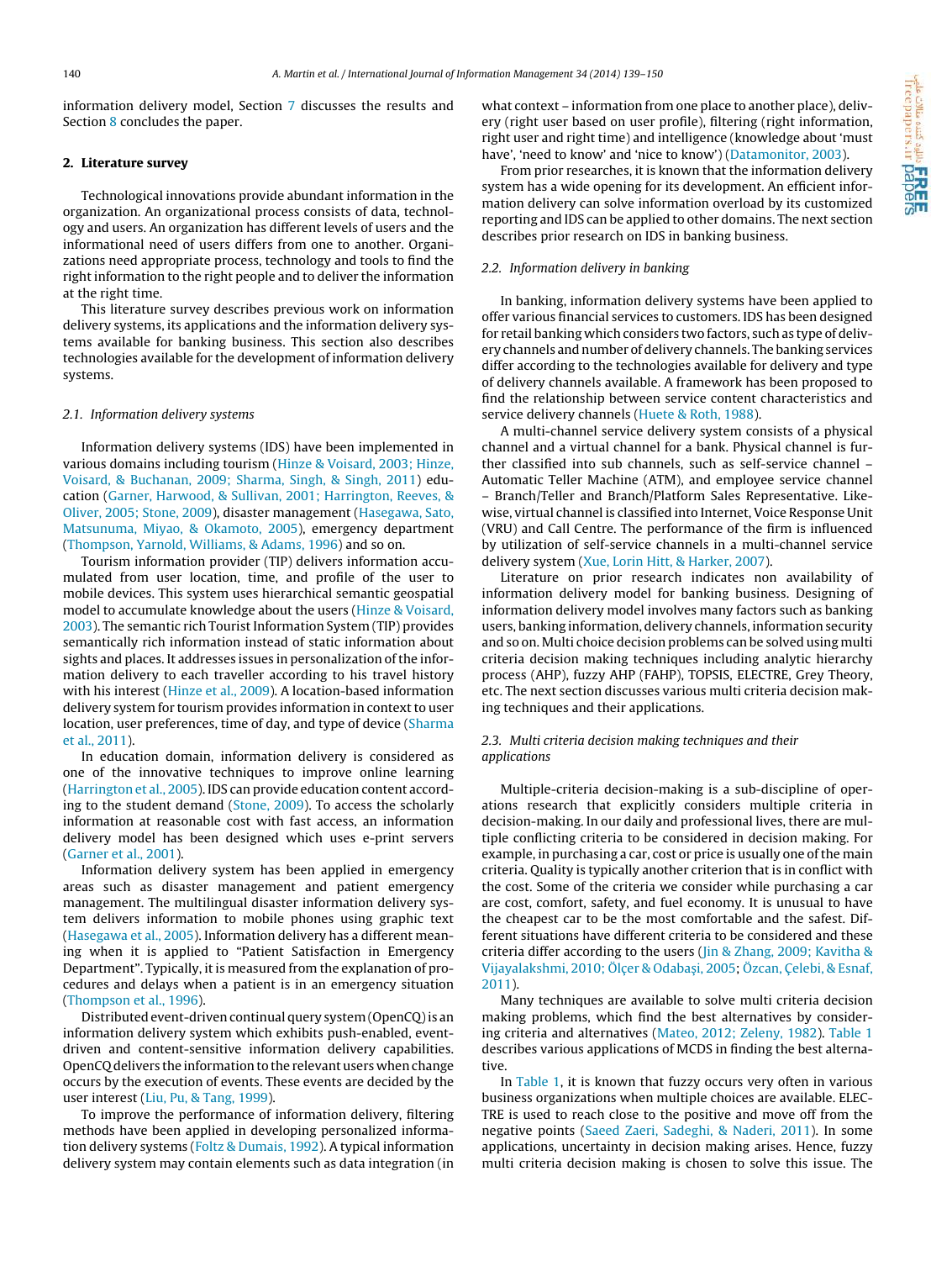<span id="page-1-0"></span>information delivery model, Section [7](#page-8-0) discusses the results and Section [8](#page-10-0) concludes the paper.

#### **2. Literature survey**

Technological innovations provide abundant information in the organization. An organizational process consists of data, technology and users. An organization has different levels of users and the informational need of users differs from one to another. Organizations need appropriate process, technology and tools to find the right information to the right people and to deliver the information at the right time.

This literature survey describes previous work on information delivery systems, its applications and the information delivery systems available for banking business. This section also describes technologies available for the development of information delivery systems.

#### 2.1. Information delivery systems

Information delivery systems (IDS) have been implemented in various domains including tourism [\(Hinze](#page-11-0) [&](#page-11-0) [Voisard,](#page-11-0) [2003;](#page-11-0) [Hinze,](#page-11-0) [Voisard,](#page-11-0) [&](#page-11-0) [Buchanan,](#page-11-0) [2009;](#page-11-0) [Sharma,](#page-11-0) [Singh,](#page-11-0) [&](#page-11-0) [Singh,](#page-11-0) [2011\)](#page-11-0) education [\(Garner,](#page-11-0) [Harwood,](#page-11-0) [&](#page-11-0) [Sullivan,](#page-11-0) [2001;](#page-11-0) [Harrington,](#page-11-0) [Reeves,](#page-11-0) [&](#page-11-0) [Oliver,](#page-11-0) [2005;](#page-11-0) [Stone,](#page-11-0) [2009\),](#page-11-0) disaster management [\(Hasegawa,](#page-11-0) [Sato,](#page-11-0) [Matsunuma,](#page-11-0) [Miyao,](#page-11-0) [&](#page-11-0) [Okamoto,](#page-11-0) [2005\),](#page-11-0) emergency department ([Thompson,](#page-11-0) [Yarnold,](#page-11-0) [Williams,](#page-11-0) [&](#page-11-0) [Adams,](#page-11-0) [1996\)](#page-11-0) and so on.

Tourism information provider (TIP) delivers information accumulated from user location, time, and profile of the user to mobile devices. This system uses hierarchical semantic geospatial model to accumulate knowledge about the users ([Hinze](#page-11-0) [&](#page-11-0) [Voisard,](#page-11-0) [2003\).](#page-11-0) The semantic rich Tourist Information System (TIP) provides semantically rich information instead of static information about sights and places. It addresses issues in personalization of the information delivery to each traveller according to his travel history with his interest [\(Hinze](#page-11-0) et [al.,](#page-11-0) [2009\).](#page-11-0) A location-based information delivery system for tourism provides information in context to user location, user preferences, time of day, and type of device [\(Sharma](#page-11-0) et [al.,](#page-11-0) [2011\).](#page-11-0)

In education domain, information delivery is considered as one of the innovative techniques to improve online learning ([Harrington](#page-11-0) et [al.,](#page-11-0) [2005\).](#page-11-0) IDS can provide education content according to the student demand ([Stone,](#page-11-0) [2009\).](#page-11-0) To access the scholarly information at reasonable cost with fast access, an information delivery model has been designed which uses e-print servers ([Garner](#page-11-0) et [al.,](#page-11-0) [2001\).](#page-11-0)

Information delivery system has been applied in emergency areas such as disaster management and patient emergency management. The multilingual disaster information delivery system delivers information to mobile phones using graphic text ([Hasegawa](#page-11-0) et [al.,](#page-11-0) [2005\).](#page-11-0) Information delivery has a different meaning when it is applied to "Patient Satisfaction in Emergency Department". Typically, it is measured from the explanation of procedures and delays when a patient is in an emergency situation ([Thompson](#page-11-0) et [al.,](#page-11-0) [1996\).](#page-11-0)

Distributed event-driven continual query system (OpenCQ) is an information delivery system which exhibits push-enabled, eventdriven and content-sensitive information delivery capabilities. OpenCQ delivers the information to the relevant users when change occurs by the execution of events. These events are decided by the user interest [\(Liu,](#page-11-0) [Pu,](#page-11-0) [&](#page-11-0) [Tang,](#page-11-0) [1999\).](#page-11-0)

To improve the performance of information delivery, filtering methods have been applied in developing personalized information delivery systems [\(Foltz](#page-11-0) [&](#page-11-0) [Dumais,](#page-11-0) [1992\).](#page-11-0) A typical information delivery system may contain elements such as data integration (in what context – information from one place to another place), delivery (right user based on user profile), filtering (right information, right user and right time) and intelligence (knowledge about 'must have', 'need to know' and 'nice to know') [\(Datamonitor,](#page-11-0) [2003\).](#page-11-0)

From prior researches, it is known that the information delivery system has a wide opening for its development. An efficient information delivery can solve information overload by its customized reporting and IDS can be applied to other domains. The next section describes prior research on IDS in banking business.

#### 2.2. Information delivery in banking

In banking, information delivery systems have been applied to offer various financial services to customers. IDS has been designed for retail banking which considers two factors, such as type of delivery channels and number of delivery channels. The banking services differ according to the technologies available for delivery and type of delivery channels available. A framework has been proposed to find the relationship between service content characteristics and service delivery channels [\(Huete](#page-11-0) [&](#page-11-0) [Roth,](#page-11-0) [1988\).](#page-11-0)

A multi-channel service delivery system consists of a physical channel and a virtual channel for a bank. Physical channel is further classified into sub channels, such as self-service channel – Automatic Teller Machine (ATM), and employee service channel – Branch/Teller and Branch/Platform Sales Representative. Likewise, virtual channel is classified into Internet, Voice Response Unit (VRU) and Call Centre. The performance of the firm is influenced by utilization of self-service channels in a multi-channel service delivery system ([Xue,](#page-11-0) [Lorin](#page-11-0) [Hitt,](#page-11-0) [&](#page-11-0) [Harker,](#page-11-0) [2007\).](#page-11-0)

Literature on prior research indicates non availability of information delivery model for banking business. Designing of information delivery model involves many factors such as banking users, banking information, delivery channels, information security and so on. Multi choice decision problems can be solved using multi criteria decision making techniques including analytic hierarchy process (AHP), fuzzy AHP (FAHP), TOPSIS, ELECTRE, Grey Theory, etc. The next section discusses various multi criteria decision making techniques and their applications.

# 2.3. Multi criteria decision making techniques and their applications

Multiple-criteria decision-making is a sub-discipline of operations research that explicitly considers multiple criteria in decision-making. In our daily and professional lives, there are multiple conflicting criteria to be considered in decision making. For example, in purchasing a car, cost or price is usually one of the main criteria. Quality is typically another criterion that is in conflict with the cost. Some of the criteria we consider while purchasing a car are cost, comfort, safety, and fuel economy. It is unusual to have the cheapest car to be the most comfortable and the safest. Different situations have different criteria to be considered and these criteria differ according to the users ([Jin](#page-11-0) [&](#page-11-0) [Zhang,](#page-11-0) [2009;](#page-11-0) [Kavitha](#page-11-0) [&](#page-11-0) [Vijayalakshmi,](#page-11-0) [2010;](#page-11-0) Ölçer [&](#page-11-0) Odabaşi, [2005;](#page-11-0) [Özcan,](#page-11-0) Ç[elebi,](#page-11-0) & [Esnaf,](#page-11-0) [2011\).](#page-11-0)

Many techniques are available to solve multi criteria decision making problems, which find the best alternatives by considering criteria and alternatives [\(Mateo,](#page-11-0) [2012;](#page-11-0) [Zeleny,](#page-11-0) [1982\).](#page-11-0) [Table](#page-2-0) 1 describes various applications of MCDS in finding the best alternative.

In [Table](#page-2-0) 1, it is known that fuzzy occurs very often in various business organizations when multiple choices are available. ELEC-TRE is used to reach close to the positive and move off from the negative points ([Saeed](#page-11-0) [Zaeri,](#page-11-0) [Sadeghi,](#page-11-0) [&](#page-11-0) [Naderi,](#page-11-0) [2011\).](#page-11-0) In some applications, uncertainty in decision making arises. Hence, fuzzy multi criteria decision making is chosen to solve this issue. The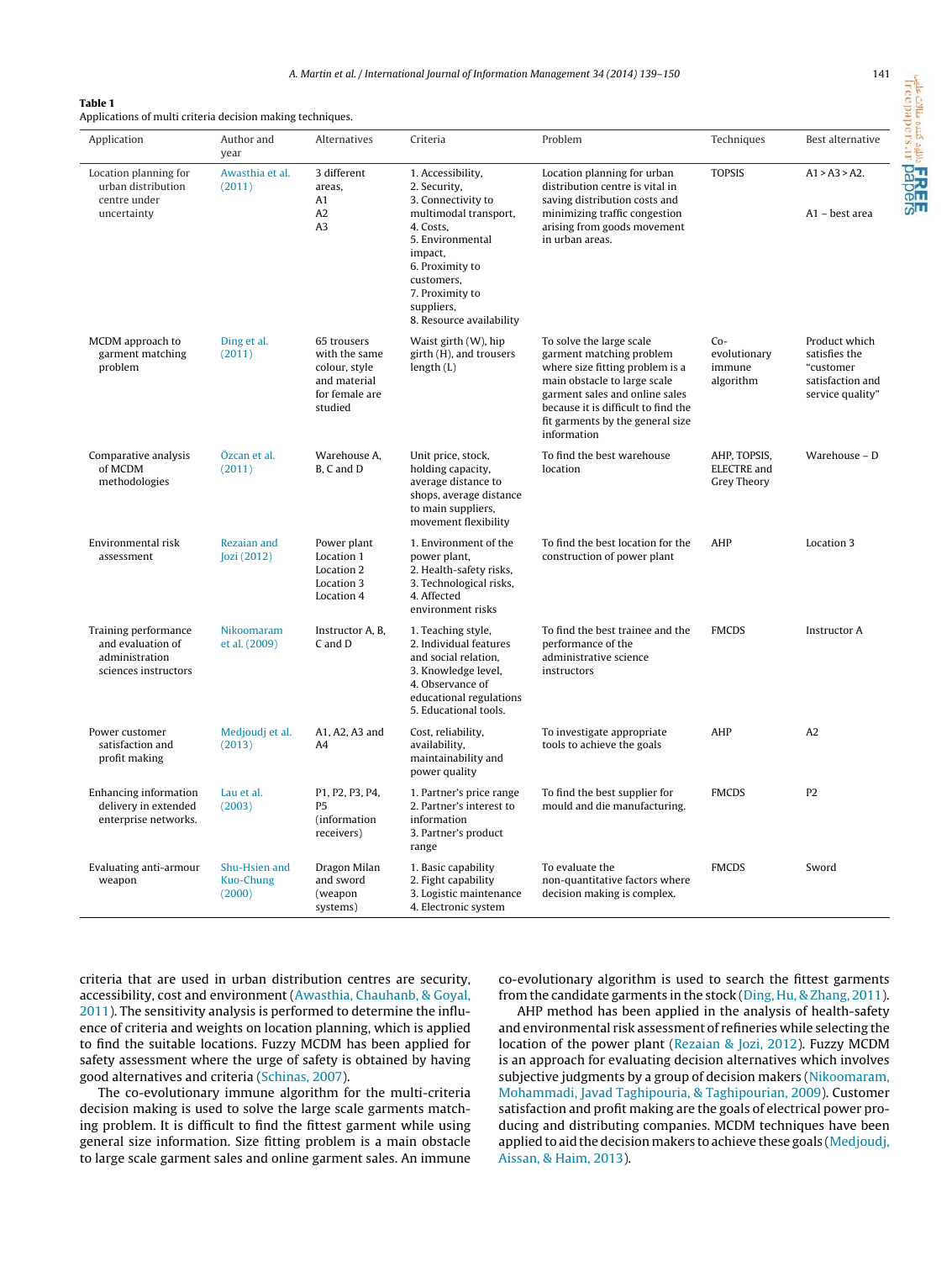<span id="page-2-0"></span>Applications of multi criteria decision making techniques.

| Application                                                                         | Author and<br>year                         | Alternatives                                                                               | Criteria                                                                                                                                                                                                                   | Problem                                                                                                                                                                                                                                             | Techniques                                        | Best alternative                                                                    |
|-------------------------------------------------------------------------------------|--------------------------------------------|--------------------------------------------------------------------------------------------|----------------------------------------------------------------------------------------------------------------------------------------------------------------------------------------------------------------------------|-----------------------------------------------------------------------------------------------------------------------------------------------------------------------------------------------------------------------------------------------------|---------------------------------------------------|-------------------------------------------------------------------------------------|
| Location planning for<br>urban distribution<br>centre under<br>uncertainty          | Awasthia et al.<br>(2011)                  | 3 different<br>areas,<br>A1<br>A2<br>A <sub>3</sub>                                        | 1. Accessibility,<br>2. Security,<br>3. Connectivity to<br>multimodal transport,<br>4. Costs,<br>5. Environmental<br>impact,<br>6. Proximity to<br>customers,<br>7. Proximity to<br>suppliers,<br>8. Resource availability | Location planning for urban<br>distribution centre is vital in<br>saving distribution costs and<br>minimizing traffic congestion<br>arising from goods movement<br>in urban areas.                                                                  | <b>TOPSIS</b>                                     | $A1 > A3 > A2$ .<br>A1 - best area                                                  |
| MCDM approach to<br>garment matching<br>problem                                     | Ding et al.<br>(2011)                      | 65 trousers<br>with the same<br>colour, style<br>and material<br>for female are<br>studied | Waist girth (W), hip<br>girth (H), and trousers<br>length $(L)$                                                                                                                                                            | To solve the large scale<br>garment matching problem<br>where size fitting problem is a<br>main obstacle to large scale<br>garment sales and online sales<br>because it is difficult to find the<br>fit garments by the general size<br>information | $Co-$<br>evolutionary<br>immune<br>algorithm      | Product which<br>satisfies the<br>"customer<br>satisfaction and<br>service quality" |
| Comparative analysis<br>of MCDM<br>methodologies                                    | Özcan et al.<br>(2011)                     | Warehouse A,<br>B, C and D                                                                 | Unit price, stock,<br>holding capacity,<br>average distance to<br>shops, average distance<br>to main suppliers,<br>movement flexibility                                                                                    | To find the best warehouse<br>location                                                                                                                                                                                                              | AHP, TOPSIS,<br><b>ELECTRE</b> and<br>Grey Theory | Warehouse – D                                                                       |
| Environmental risk<br>assessment                                                    | <b>Rezaian and</b><br>$\vert$ ozi $(2012)$ | Power plant<br>Location 1<br>Location 2<br>Location 3<br>Location 4                        | 1. Environment of the<br>power plant,<br>2. Health-safety risks,<br>3. Technological risks,<br>4. Affected<br>environment risks                                                                                            | To find the best location for the<br>construction of power plant                                                                                                                                                                                    | AHP                                               | Location 3                                                                          |
| Training performance<br>and evaluation of<br>administration<br>sciences instructors | Nikoomaram<br>et al. (2009)                | Instructor A, B,<br>C and D                                                                | 1. Teaching style,<br>2. Individual features<br>and social relation,<br>3. Knowledge level,<br>4. Observance of<br>educational regulations<br>5. Educational tools.                                                        | To find the best trainee and the<br>performance of the<br>administrative science<br>instructors                                                                                                                                                     | <b>FMCDS</b>                                      | <b>Instructor A</b>                                                                 |
| Power customer<br>satisfaction and<br>profit making                                 | Medjoudj et al.<br>(2013)                  | A1, A2, A3 and<br>A <sub>4</sub>                                                           | Cost, reliability,<br>availability,<br>maintainability and<br>power quality                                                                                                                                                | To investigate appropriate<br>tools to achieve the goals                                                                                                                                                                                            | AHP                                               | A2                                                                                  |
| Enhancing information<br>delivery in extended<br>enterprise networks.               | Lau et al.<br>(2003)                       | P1, P2, P3, P4,<br>P <sub>5</sub><br>(information<br>receivers)                            | 1. Partner's price range<br>2. Partner's interest to<br>information<br>3. Partner's product<br>range                                                                                                                       | To find the best supplier for<br>mould and die manufacturing.                                                                                                                                                                                       | <b>FMCDS</b>                                      | P <sub>2</sub>                                                                      |
| Evaluating anti-armour<br>weapon                                                    | Shu-Hsien and<br>Kuo-Chung<br>(2000)       | Dragon Milan<br>and sword<br>(weapon<br>systems)                                           | 1. Basic capability<br>2. Fight capability<br>3. Logistic maintenance<br>4. Electronic system                                                                                                                              | To evaluate the<br>non-quantitative factors where<br>decision making is complex.                                                                                                                                                                    | <b>FMCDS</b>                                      | Sword                                                                               |

criteria that are used in urban distribution centres are security, accessibility, cost and environment [\(Awasthia,](#page-11-0) [Chauhanb,](#page-11-0) [&](#page-11-0) [Goyal,](#page-11-0) [2011\).](#page-11-0) The sensitivity analysis is performed to determine the influence of criteria and weights on location planning, which is applied to find the suitable locations. Fuzzy MCDM has been applied for safety assessment where the urge of safety is obtained by having good alternatives and criteria ([Schinas,](#page-11-0) [2007\).](#page-11-0)

The co-evolutionary immune algorithm for the multi-criteria decision making is used to solve the large scale garments matching problem. It is difficult to find the fittest garment while using general size information. Size fitting problem is a main obstacle to large scale garment sales and online garment sales. An immune

co-evolutionary algorithm is used to search the fittest garments from the candidate garments in the stock ([Ding,](#page-11-0) [Hu,](#page-11-0) [&](#page-11-0) [Zhang,](#page-11-0) [2011\).](#page-11-0)

AHP method has been applied in the analysis of health-safety and environmental risk assessment of refineries while selecting the location of the power plant [\(Rezaian](#page-11-0) [&](#page-11-0) [Jozi,](#page-11-0) [2012\).](#page-11-0) Fuzzy MCDM is an approach for evaluating decision alternatives which involves subjective judgments by a group of decision makers ([Nikoomaram,](#page-11-0) [Mohammadi,](#page-11-0) [Javad](#page-11-0) [Taghipouria,](#page-11-0) [&](#page-11-0) [Taghipourian,](#page-11-0) [2009\).](#page-11-0) Customer satisfaction and profit making are the goals of electrical power producing and distributing companies. MCDM techniques have been applied to aid the decision makers to achieve these goals [\(Medjoudj,](#page-11-0) [Aissan,](#page-11-0) [&](#page-11-0) [Haim,](#page-11-0) [2013\).](#page-11-0)

FREE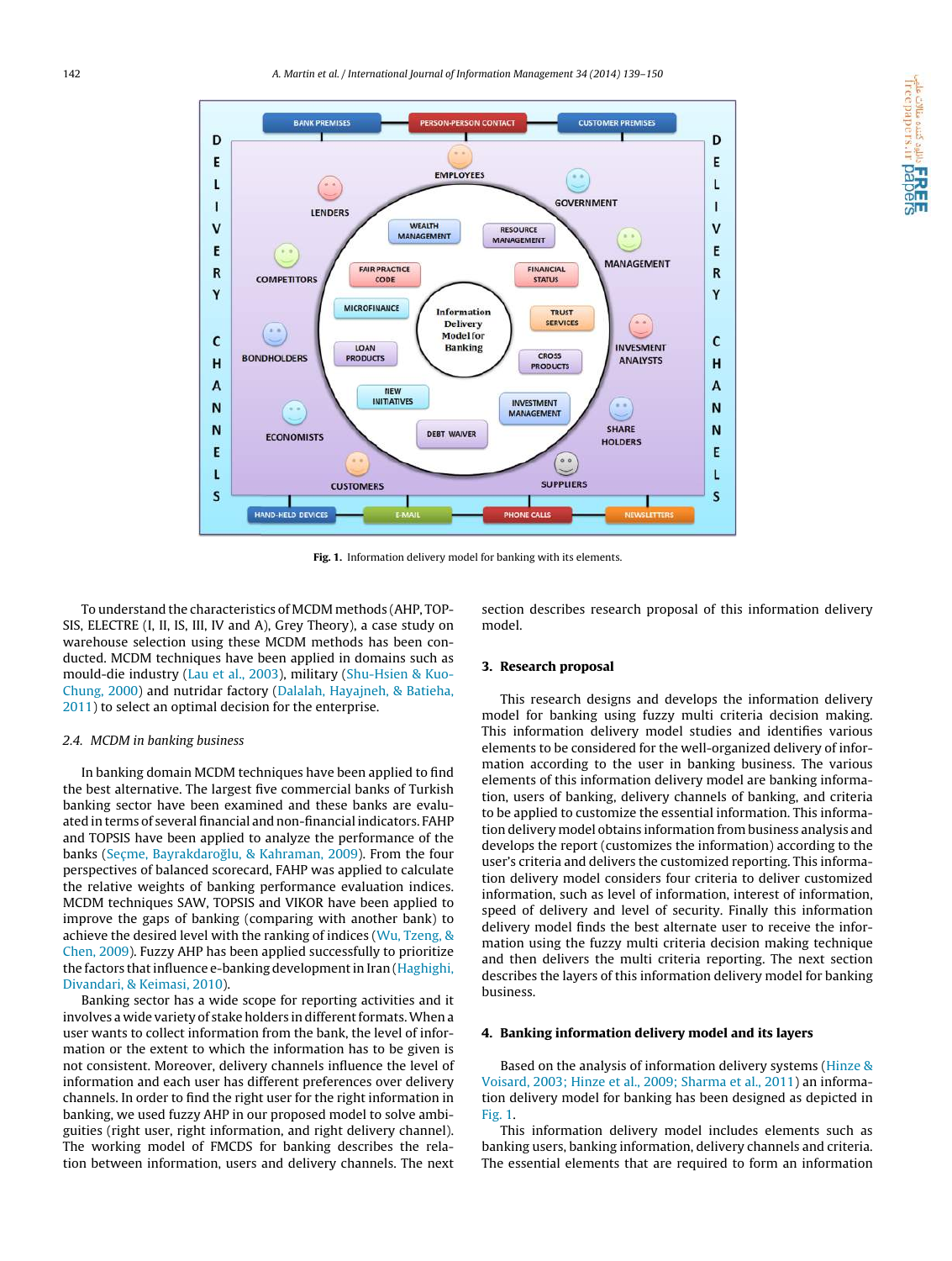<span id="page-3-0"></span>

**Fig. 1.** Information delivery model for banking with its elements.

To understand the characteristics of MCDM methods (AHP, TOP-SIS, ELECTRE (I, II, IS, III, IV and A), Grey Theory), a case study on warehouse selection using these MCDM methods has been conducted. MCDM techniques have been applied in domains such as mould-die industry [\(Lau](#page-11-0) et [al.,](#page-11-0) [2003\),](#page-11-0) military ([Shu-Hsien](#page-11-0) [&](#page-11-0) [Kuo-](#page-11-0)Chung, [2000\)](#page-11-0) and nutridar factory [\(Dalalah,](#page-11-0) [Hayajneh,](#page-11-0) [&](#page-11-0) [Batieha,](#page-11-0) [2011\)](#page-11-0) to select an optimal decision for the enterprise.

#### 2.4. MCDM in banking business

In banking domain MCDM techniques have been applied to find the best alternative. The largest five commercial banks of Turkish banking sector have been examined and these banks are evaluated in terms of several financial and non-financial indicators. FAHP and TOPSIS have been applied to analyze the performance of the banks (Seç[me,](#page-11-0) Bayrakdaroğlu, [&](#page-11-0) [Kahraman,](#page-11-0) [2009\).](#page-11-0) From the four perspectives of balanced scorecard, FAHP was applied to calculate the relative weights of banking performance evaluation indices. MCDM techniques SAW, TOPSIS and VIKOR have been applied to improve the gaps of banking (comparing with another bank) to achieve the desired level with the ranking of indices ([Wu,](#page-11-0) [Tzeng,](#page-11-0) [&](#page-11-0) [Chen,](#page-11-0) [2009\).](#page-11-0) Fuzzy AHP has been applied successfully to prioritize the factors that influence e-banking development in Iran [\(Haghighi,](#page-11-0) [Divandari,](#page-11-0) [&](#page-11-0) [Keimasi,](#page-11-0) [2010\).](#page-11-0)

Banking sector has a wide scope for reporting activities and it involves a wide variety of stake holders in different formats. When a user wants to collect information from the bank, the level of information or the extent to which the information has to be given is not consistent. Moreover, delivery channels influence the level of information and each user has different preferences over delivery channels. In order to find the right user for the right information in banking, we used fuzzy AHP in our proposed model to solve ambiguities (right user, right information, and right delivery channel). The working model of FMCDS for banking describes the relation between information, users and delivery channels. The next

section describes research proposal of this information delivery model.

#### **3. Research proposal**

This research designs and develops the information delivery model for banking using fuzzy multi criteria decision making. This information delivery model studies and identifies various elements to be considered for the well-organized delivery of information according to the user in banking business. The various elements of this information delivery model are banking information, users of banking, delivery channels of banking, and criteria to be applied to customize the essential information. This information delivery model obtains information from business analysis and develops the report (customizes the information) according to the user's criteria and delivers the customized reporting. This information delivery model considers four criteria to deliver customized information, such as level of information, interest of information, speed of delivery and level of security. Finally this information delivery model finds the best alternate user to receive the information using the fuzzy multi criteria decision making technique and then delivers the multi criteria reporting. The next section describes the layers of this information delivery model for banking business.

#### **4. Banking information delivery model and its layers**

Based on the analysis of information delivery systems ([Hinze](#page-11-0) [&](#page-11-0) [Voisard,](#page-11-0) [2003;](#page-11-0) [Hinze](#page-11-0) et [al.,](#page-11-0) [2009;](#page-11-0) [Sharma](#page-11-0) et [al.,](#page-11-0) [2011\)](#page-11-0) an information delivery model for banking has been designed as depicted in Fig. 1.

This information delivery model includes elements such as banking users, banking information, delivery channels and criteria. The essential elements that are required to form an information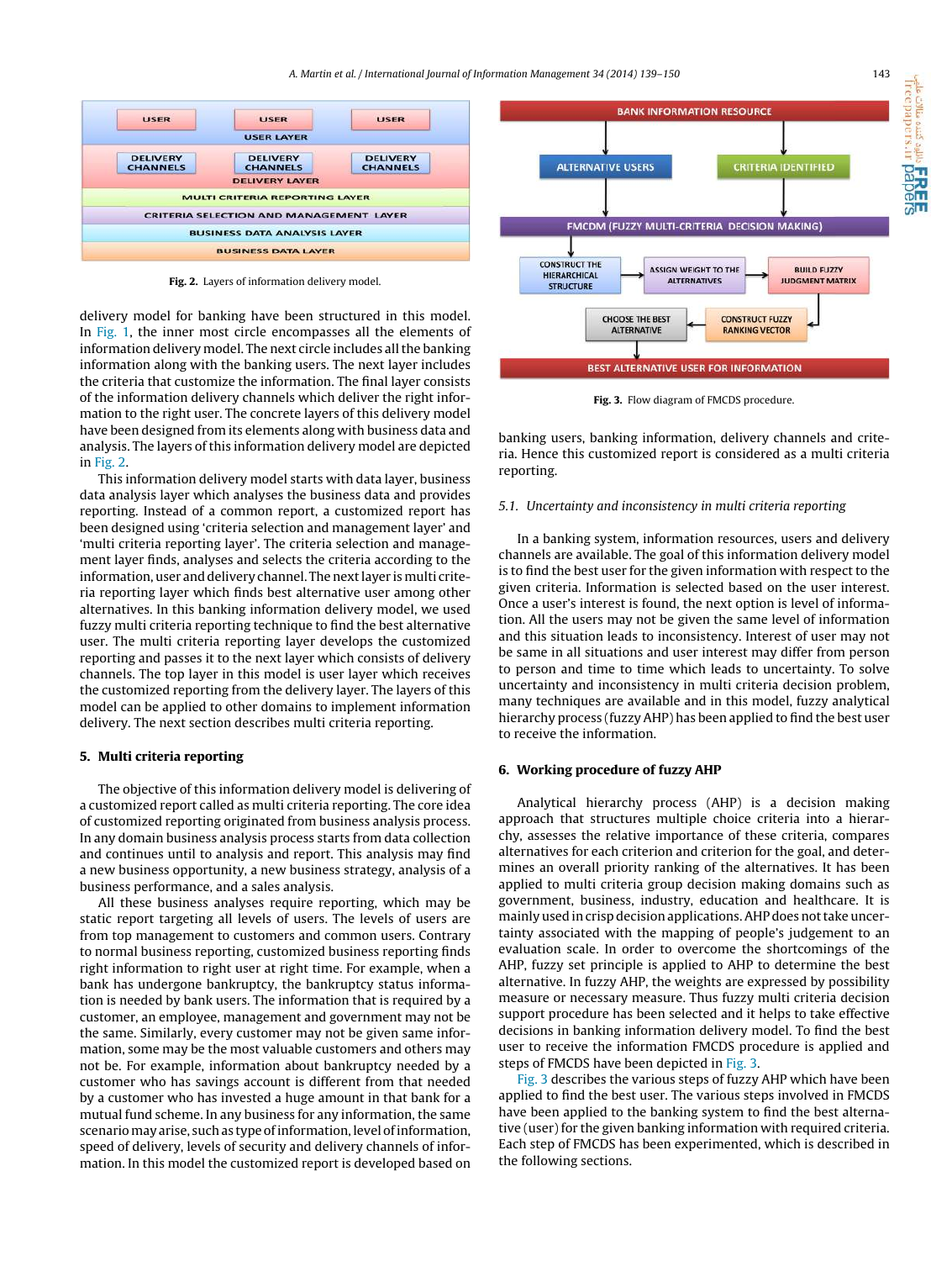<span id="page-4-0"></span>

**Fig. 2.** Layers of information delivery model.

delivery model for banking have been structured in this model. In [Fig.](#page-3-0) 1, the inner most circle encompasses all the elements of information delivery model. The next circle includes all the banking information along with the banking users. The next layer includes the criteria that customize the information. The final layer consists of the information delivery channels which deliver the right information to the right user. The concrete layers of this delivery model have been designed from its elements along with business data and analysis. The layers of this information delivery model are depicted in Fig. 2.

This information delivery model starts with data layer, business data analysis layer which analyses the business data and provides reporting. Instead of a common report, a customized report has been designed using 'criteria selection and management layer' and 'multi criteria reporting layer'. The criteria selection and management layer finds, analyses and selects the criteria according to the information, user and delivery channel. The next layer is multi criteria reporting layer which finds best alternative user among other alternatives. In this banking information delivery model, we used fuzzy multi criteria reporting technique to find the best alternative user. The multi criteria reporting layer develops the customized reporting and passes it to the next layer which consists of delivery channels. The top layer in this model is user layer which receives the customized reporting from the delivery layer. The layers of this model can be applied to other domains to implement information delivery. The next section describes multi criteria reporting.

#### **5. Multi criteria reporting**

The objective of this information delivery model is delivering of a customized report called as multi criteria reporting. The core idea of customized reporting originated from business analysis process. In any domain business analysis process starts from data collection and continues until to analysis and report. This analysis may find a new business opportunity, a new business strategy, analysis of a business performance, and a sales analysis.

All these business analyses require reporting, which may be static report targeting all levels of users. The levels of users are from top management to customers and common users. Contrary to normal business reporting, customized business reporting finds right information to right user at right time. For example, when a bank has undergone bankruptcy, the bankruptcy status information is needed by bank users. The information that is required by a customer, an employee, management and government may not be the same. Similarly, every customer may not be given same information, some may be the most valuable customers and others may not be. For example, information about bankruptcy needed by a customer who has savings account is different from that needed by a customer who has invested a huge amount in that bank for a mutual fund scheme. In any business for any information, the same scenario may arise, such as type of information, level of information, speed of delivery, levels of security and delivery channels of information. In this model the customized report is developed based on



**Fig. 3.** Flow diagram of FMCDS procedure.

banking users, banking information, delivery channels and criteria. Hence this customized report is considered as a multi criteria reporting.

#### 5.1. Uncertainty and inconsistency in multi criteria reporting

In a banking system, information resources, users and delivery channels are available. The goal of this information delivery model is to find the best user for the given information with respect to the given criteria. Information is selected based on the user interest. Once a user's interest is found, the next option is level of information. All the users may not be given the same level of information and this situation leads to inconsistency. Interest of user may not be same in all situations and user interest may differ from person to person and time to time which leads to uncertainty. To solve uncertainty and inconsistency in multi criteria decision problem, many techniques are available and in this model, fuzzy analytical hierarchy process (fuzzy AHP) has been applied to find the best user to receive the information.

#### **6. Working procedure of fuzzy AHP**

Analytical hierarchy process (AHP) is a decision making approach that structures multiple choice criteria into a hierarchy, assesses the relative importance of these criteria, compares alternatives for each criterion and criterion for the goal, and determines an overall priority ranking of the alternatives. It has been applied to multi criteria group decision making domains such as government, business, industry, education and healthcare. It is mainly used in crisp decision applications. AHP does not take uncertainty associated with the mapping of people's judgement to an evaluation scale. In order to overcome the shortcomings of the AHP, fuzzy set principle is applied to AHP to determine the best alternative. In fuzzy AHP, the weights are expressed by possibility measure or necessary measure. Thus fuzzy multi criteria decision support procedure has been selected and it helps to take effective decisions in banking information delivery model. To find the best user to receive the information FMCDS procedure is applied and steps of FMCDS have been depicted in Fig. 3.

Fig. 3 describes the various steps of fuzzy AHP which have been applied to find the best user. The various steps involved in FMCDS have been applied to the banking system to find the best alternative (user) for the given banking information with required criteria. Each step of FMCDS has been experimented, which is described in the following sections.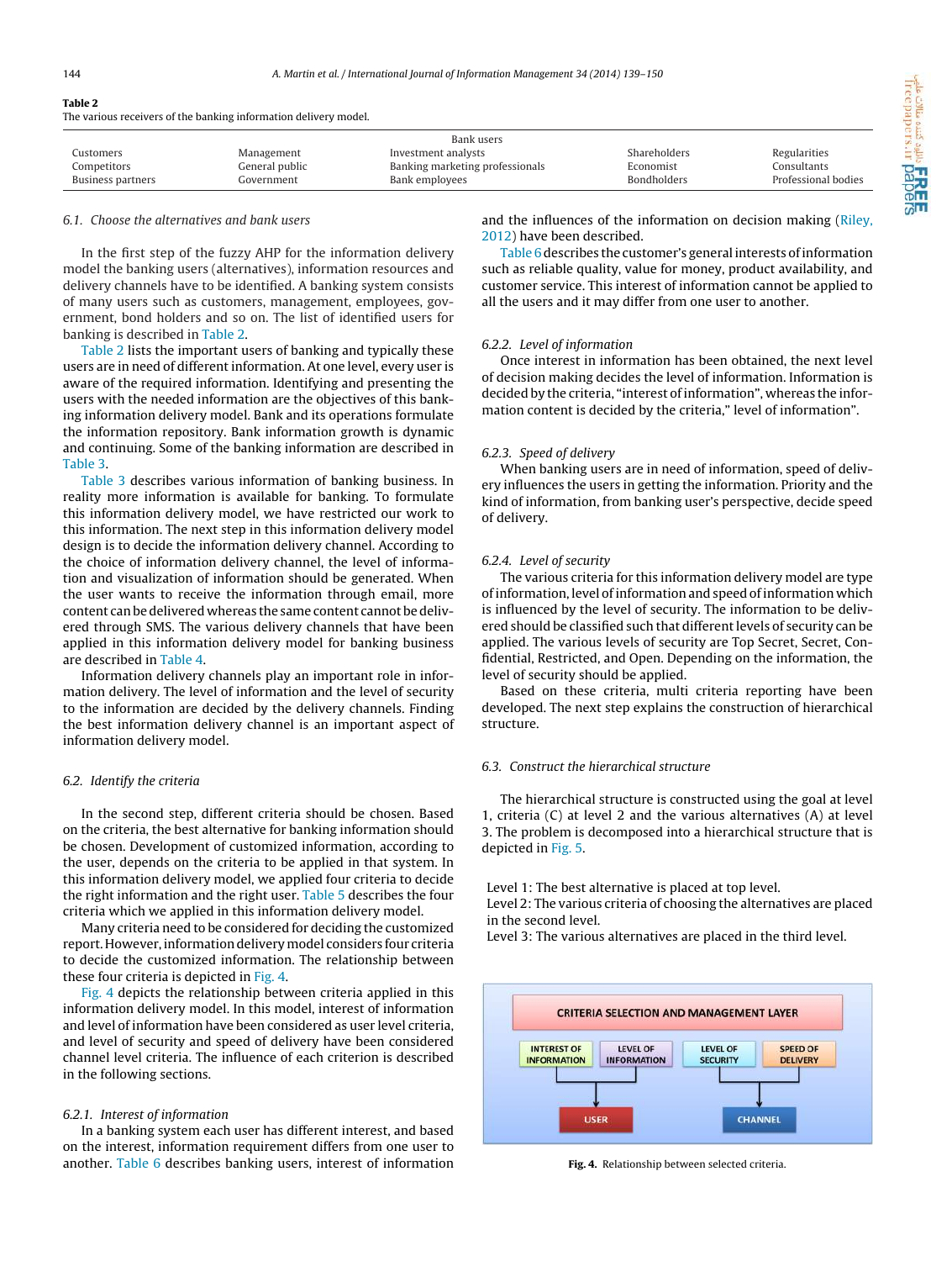The various receivers of the banking information delivery model.

|                   |                | Bank users                      |                    |                     |
|-------------------|----------------|---------------------------------|--------------------|---------------------|
| Customers         | Management     | Investment analysts             | Shareholders       | Regularities        |
| Competitors       | General public | Banking marketing professionals | Economist          | Consultants         |
| Business partners | Government     | Bank employees                  | <b>Bondholders</b> | Professional bodies |

#### 6.1. Choose the alternatives and bank users

In the first step of the fuzzy AHP for the information delivery model the banking users (alternatives), information resources and delivery channels have to be identified. A banking system consists of many users such as customers, management, employees, government, bond holders and so on. The list of identified users for banking is described in Table 2.

Table 2 lists the important users of banking and typically these users are in need of different information. At one level, every user is aware of the required information. Identifying and presenting the users with the needed information are the objectives of this banking information delivery model. Bank and its operations formulate the information repository. Bank information growth is dynamic and continuing. Some of the banking information are described in [Table](#page-6-0) 3.

[Table](#page-6-0) 3 describes various information of banking business. In reality more information is available for banking. To formulate this information delivery model, we have restricted our work to this information. The next step in this information delivery model design is to decide the information delivery channel. According to the choice of information delivery channel, the level of information and visualization of information should be generated. When the user wants to receive the information through email, more content can be delivered whereas the same content cannot be delivered through SMS. The various delivery channels that have been applied in this information delivery model for banking business are described in [Table](#page-6-0) 4.

Information delivery channels play an important role in information delivery. The level of information and the level of security to the information are decided by the delivery channels. Finding the best information delivery channel is an important aspect of information delivery model.

# 6.2. Identify the criteria

In the second step, different criteria should be chosen. Based on the criteria, the best alternative for banking information should be chosen. Development of customized information, according to the user, depends on the criteria to be applied in that system. In this information delivery model, we applied four criteria to decide the right information and the right user. [Table](#page-6-0) 5 describes the four criteria which we applied in this information delivery model.

Many criteria need to be considered for deciding the customized report. However, information delivery model considers four criteria to decide the customized information. The relationship between these four criteria is depicted in Fig. 4.

Fig. 4 depicts the relationship between criteria applied in this information delivery model. In this model, interest of information and level of information have been considered as user level criteria, and level of security and speed of delivery have been considered channel level criteria. The influence of each criterion is described in the following sections.

#### 6.2.1. Interest of information

In a banking system each user has different interest, and based on the interest, information requirement differs from one user to another. [Table](#page-6-0) 6 describes banking users, interest of information and the influences of the information on decision making [\(Riley,](#page-11-0) [2012\)](#page-11-0) have been described.

[Table](#page-6-0) 6 describes the customer's general interests of information such as reliable quality, value for money, product availability, and customer service. This interest of information cannot be applied to all the users and it may differ from one user to another.

#### 6.2.2. Level of information

Once interest in information has been obtained, the next level of decision making decides the level of information. Information is decided by the criteria, "interest of information", whereas the information content is decided by the criteria," level of information".

#### 6.2.3. Speed of delivery

When banking users are in need of information, speed of delivery influences the users in getting the information. Priority and the kind of information, from banking user's perspective, decide speed of delivery.

#### 6.2.4. Level of security

The various criteria for this information delivery model are type of information, level of information and speed of information which is influenced by the level of security. The information to be delivered should be classified such that different levels of security can be applied. The various levels of security are Top Secret, Secret, Confidential, Restricted, and Open. Depending on the information, the level of security should be applied.

Based on these criteria, multi criteria reporting have been developed. The next step explains the construction of hierarchical structure.

#### 6.3. Construct the hierarchical structure

The hierarchical structure is constructed using the goal at level 1, criteria (C) at level 2 and the various alternatives (A) at level 3. The problem is decomposed into a hierarchical structure that is depicted in [Fig.](#page-6-0) 5.

Level 1: The best alternative is placed at top level.

Level 2: The various criteria of choosing the alternatives are placed in the second level.

Level 3: The various alternatives are placed in the third level.



**Fig. 4.** Relationship between selected criteria.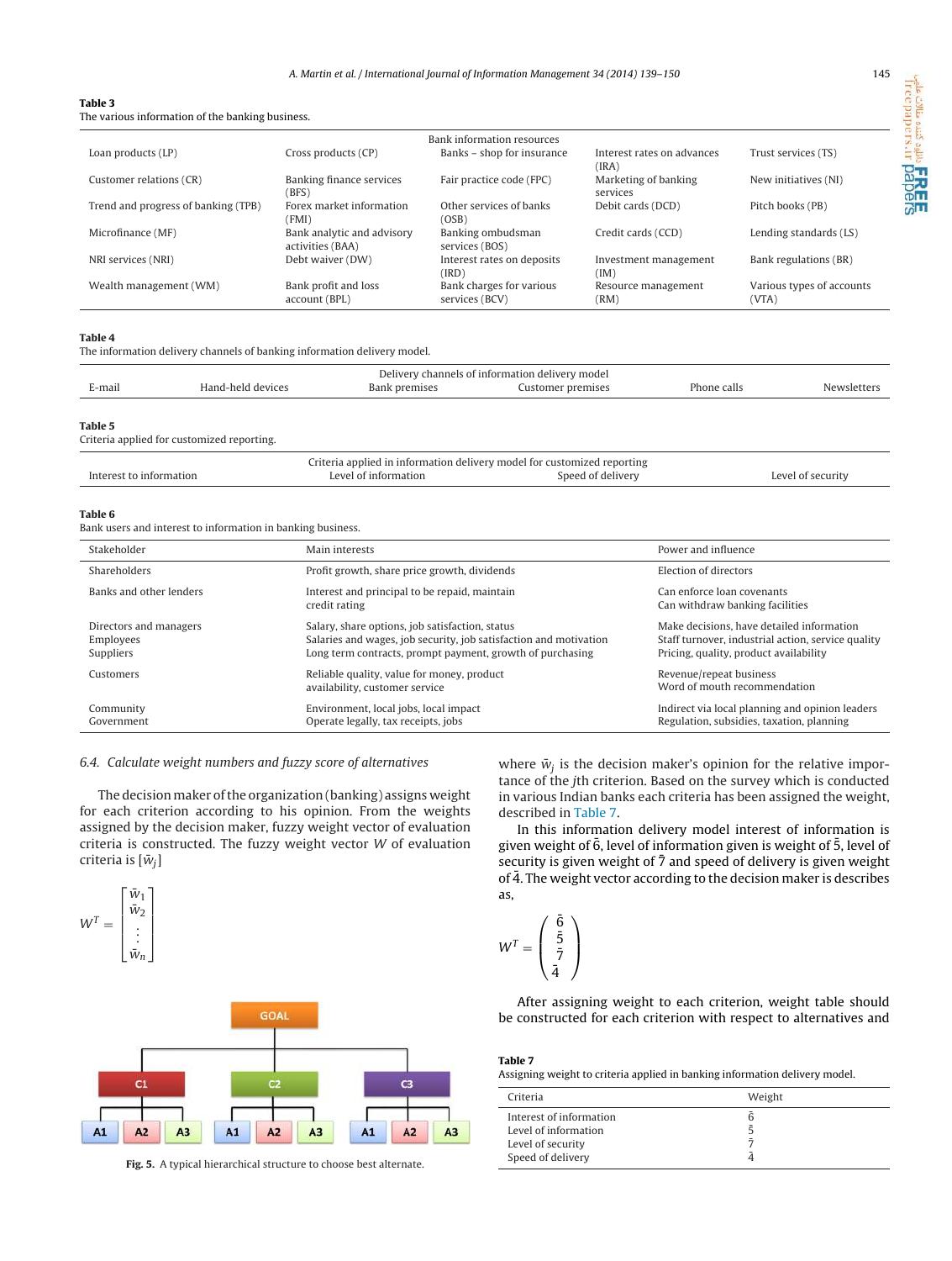<span id="page-6-0"></span>The various information of the banking business.

|                                     |                                                | Bank information resources                 |                                     |                                    |
|-------------------------------------|------------------------------------------------|--------------------------------------------|-------------------------------------|------------------------------------|
| Loan products (LP)                  | Cross products (CP)                            | Banks – shop for insurance                 | Interest rates on advances<br>(IRA) | Trust services (TS)                |
| Customer relations (CR)             | Banking finance services<br>(BFS)              | Fair practice code (FPC)                   | Marketing of banking<br>services    | New initiatives (NI)               |
| Trend and progress of banking (TPB) | Forex market information<br>(FMI)              | Other services of banks<br>(OSB)           | Debit cards (DCD)                   | Pitch books (PB)                   |
| Microfinance (MF)                   | Bank analytic and advisory<br>activities (BAA) | Banking ombudsman<br>services (BOS)        | Credit cards (CCD)                  | Lending standards (LS)             |
| NRI services (NRI)                  | Debt waiver (DW)                               | Interest rates on deposits<br>(IRD)        | Investment management<br>(IM)       | Bank regulations (BR)              |
| Wealth management (WM)              | Bank profit and loss<br>account (BPL)          | Bank charges for various<br>services (BCV) | Resource management<br>(RM)         | Various types of accounts<br>(VTA) |

#### **Table 4**

The information delivery channels of banking information delivery model.

|                                                                | ______                               | moae<br><b>PERSE</b><br>nne<br>111701<br>nror |                  |   |
|----------------------------------------------------------------|--------------------------------------|-----------------------------------------------|------------------|---|
| n<br>∗-mail<br>the contract of the contract of the contract of | the contract of the contract of<br>. | .<br>.                                        | :alls<br>'n<br>. | . |

#### **Table 5**

Criteria applied for customized reporting.

| Criteria applied in information delivery model for customized reporting |                       |                   |                   |  |  |
|-------------------------------------------------------------------------|-----------------------|-------------------|-------------------|--|--|
| Interest to information                                                 | Level of information- | Speed of delivery | Level of security |  |  |

#### **Table 6**

Bank users and interest to information in banking business.

| Stakeholder                                      | Main interests                                                                                                                                                                    | Power and influence                                                                                                                       |
|--------------------------------------------------|-----------------------------------------------------------------------------------------------------------------------------------------------------------------------------------|-------------------------------------------------------------------------------------------------------------------------------------------|
| Shareholders                                     | Profit growth, share price growth, dividends                                                                                                                                      | Election of directors                                                                                                                     |
| Banks and other lenders                          | Interest and principal to be repaid, maintain<br>credit rating                                                                                                                    | Can enforce loan covenants<br>Can withdraw banking facilities                                                                             |
| Directors and managers<br>Employees<br>Suppliers | Salary, share options, job satisfaction, status<br>Salaries and wages, job security, job satisfaction and motivation<br>Long term contracts, prompt payment, growth of purchasing | Make decisions, have detailed information<br>Staff turnover, industrial action, service quality<br>Pricing, quality, product availability |
| Customers                                        | Reliable quality, value for money, product<br>availability, customer service                                                                                                      | Revenue/repeat business<br>Word of mouth recommendation                                                                                   |
| Community<br>Government                          | Environment, local jobs, local impact<br>Operate legally, tax receipts, jobs                                                                                                      | Indirect via local planning and opinion leaders<br>Regulation, subsidies, taxation, planning                                              |

# 6.4. Calculate weight numbers and fuzzy score of alternatives

The decision maker ofthe organization (banking) assigns weight for each criterion according to his opinion. From the weights assigned by the decision maker, fuzzy weight vector of evaluation criteria is constructed. The fuzzy weight vector W of evaluation criteria is  $[\bar{w}_i]$ 





**Fig. 5.** A typical hierarchical structure to choose best alternate.

where  $\bar{w}_i$  is the decision maker's opinion for the relative importance of the jth criterion. Based on the survey which is conducted in various Indian banks each criteria has been assigned the weight, described in Table 7.

In this information delivery model interest of information is given weight of  $\bar{6}$ , level of information given is weight of  $\bar{5}$ , level of security is given weight of  $\bar{7}$  and speed of delivery is given weight of 4. The weight vector according to the decision maker is describes as,



After assigning weight to each criterion, weight table should be constructed for each criterion with respect to alternatives and

**Table 7**

Assigning weight to criteria applied in banking information delivery model.

| Criteria                                                                                  | Weight |
|-------------------------------------------------------------------------------------------|--------|
| Interest of information<br>Level of information<br>Level of security<br>Speed of delivery |        |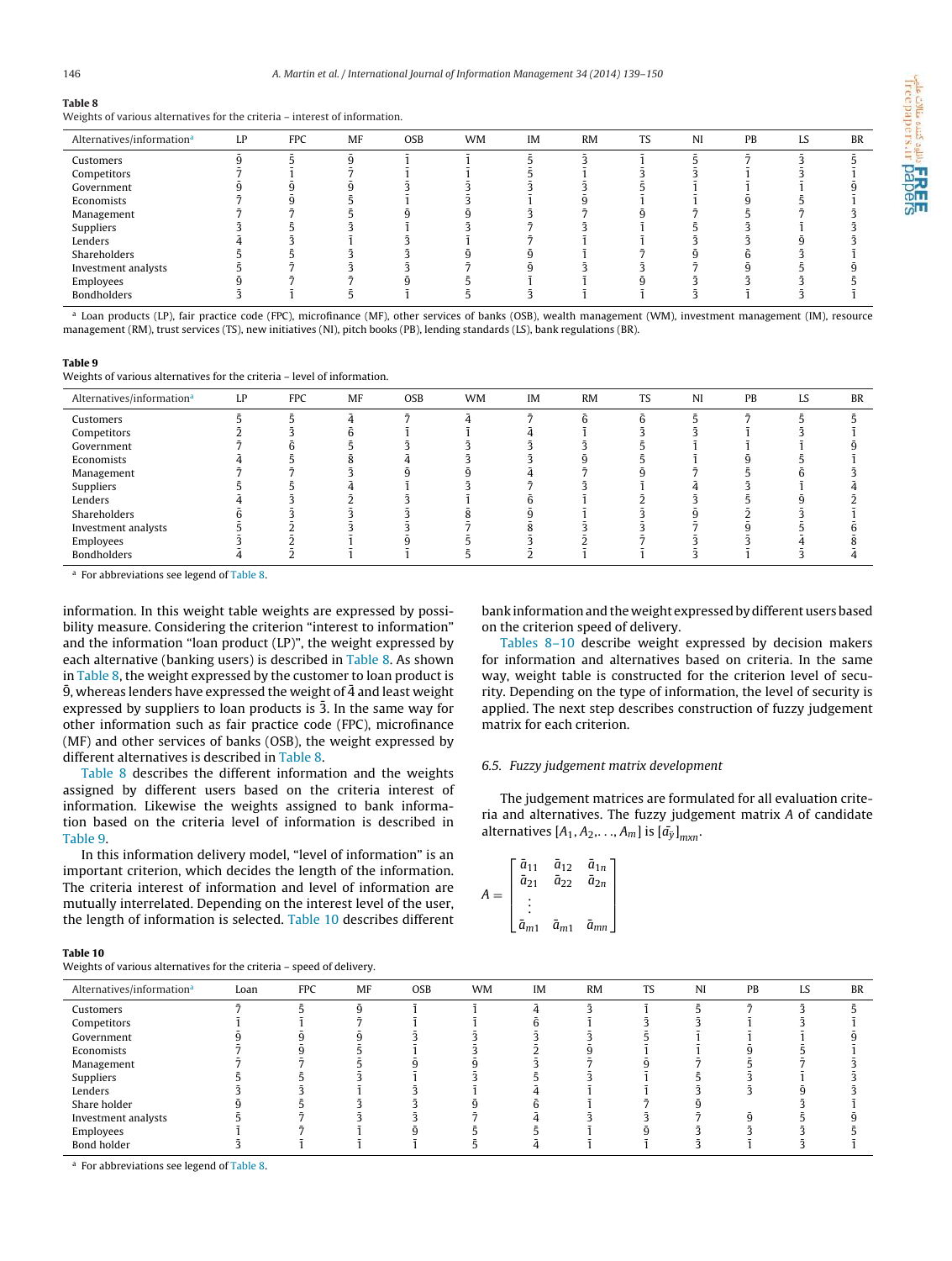Weights of various alternatives for the criteria – interest of information.

| Alternatives/information <sup>a</sup> | LP | <b>FPC</b> | MF | OSB | <b>WM</b> | IM | RM | TS | NI | PB | LS | BR |
|---------------------------------------|----|------------|----|-----|-----------|----|----|----|----|----|----|----|
| Customers                             |    |            |    |     |           |    |    |    |    |    |    |    |
| Competitors                           |    |            |    |     |           |    |    |    |    |    |    |    |
| Government                            |    |            |    |     |           |    |    |    |    |    |    |    |
| Economists                            |    |            |    |     |           |    |    |    |    |    |    |    |
| Management                            |    |            |    |     |           |    |    |    |    |    |    |    |
| Suppliers                             |    |            |    |     |           |    |    |    |    |    |    |    |
| Lenders                               |    |            |    |     |           |    |    |    |    |    |    |    |
| Shareholders                          |    |            |    |     |           |    |    |    |    |    |    |    |
| Investment analysts                   |    |            |    |     |           |    |    |    |    |    |    |    |
| Employees                             |    |            |    |     |           |    |    |    |    |    |    |    |
| Bondholders                           |    |            |    |     |           |    |    |    |    |    |    |    |

<sup>a</sup> Loan products (LP), fair practice code (FPC), microfinance (MF), other services of banks (OSB), wealth management (WM), investment management (IM), resource management (RM), trust services (TS), new initiatives (NI), pitch books (PB), lending standards (LS), bank regulations (BR).

# **Table 9**

Weights of various alternatives for the criteria – level of information.

| Alternatives/information <sup>a</sup> | LP | <b>FPC</b> | MF | OSB | <b>WM</b> | IM | <b>RM</b> | <b>TS</b> | NI | PB | LS | <b>BR</b> |
|---------------------------------------|----|------------|----|-----|-----------|----|-----------|-----------|----|----|----|-----------|
| Customers                             |    |            |    |     |           |    |           |           |    |    |    |           |
| Competitors                           |    |            |    |     |           |    |           |           |    |    |    |           |
| Government                            |    |            |    |     |           |    |           |           |    |    |    |           |
| Economists                            |    |            |    |     |           |    |           |           |    |    |    |           |
| Management                            |    |            |    |     |           |    |           |           |    |    |    |           |
| Suppliers                             |    |            |    |     |           |    |           |           |    |    |    |           |
| Lenders                               |    |            |    |     |           |    |           |           |    |    |    |           |
| Shareholders                          |    |            |    |     |           |    |           |           |    |    |    |           |
| Investment analysts                   |    |            |    |     |           |    |           |           |    |    |    |           |
| Employees                             |    |            |    |     |           |    |           |           |    |    |    |           |
| Bondholders                           |    |            |    |     |           |    |           |           |    |    |    |           |

<sup>a</sup> For abbreviations see legend of Table 8.

information. In this weight table weights are expressed by possibility measure. Considering the criterion "interest to information" and the information "loan product (LP)", the weight expressed by each alternative (banking users) is described in Table 8. As shown in Table 8, the weight expressed by the customer to loan product is  $\bar{9}$ , whereas lenders have expressed the weight of  $\bar{4}$  and least weight expressed by suppliers to loan products is  $\bar{3}$ . In the same way for other information such as fair practice code (FPC), microfinance (MF) and other services of banks (OSB), the weight expressed by different alternatives is described in Table 8.

Table 8 describes the different information and the weights assigned by different users based on the criteria interest of information. Likewise the weights assigned to bank information based on the criteria level of information is described in Table 9.

In this information delivery model, "level of information" is an important criterion, which decides the length of the information. The criteria interest of information and level of information are mutually interrelated. Depending on the interest level of the user, the length of information is selected. Table 10 describes different bank information and the weight expressed by different users based on the criterion speed of delivery.

Tables 8–10 describe weight expressed by decision makers for information and alternatives based on criteria. In the same way, weight table is constructed for the criterion level of security. Depending on the type of information, the level of security is applied. The next step describes construction of fuzzy judgement matrix for each criterion.

# 6.5. Fuzzy judgement matrix development

The judgement matrices are formulated for all evaluation criteria and alternatives. The fuzzy judgement matrix A of candidate alternatives  $[A_1, A_2, \ldots, A_m]$  is  $[\bar{a}_y]_{m \times n}$ .

$$
A = \begin{bmatrix} \bar{a}_{11} & \bar{a}_{12} & \bar{a}_{1n} \\ \bar{a}_{21} & \bar{a}_{22} & \bar{a}_{2n} \\ \vdots & \vdots & \vdots \\ \bar{a}_{m1} & \bar{a}_{m1} & \bar{a}_{mn} \end{bmatrix}
$$

**Table 10**

Weights of various alternatives for the criteria – speed of delivery.

| Alternatives/information <sup>a</sup> | Loan | <b>FPC</b> | MF | <b>OSB</b> | <b>WM</b> | IM | <b>RM</b> | TS | NI | PB | LS | BR |
|---------------------------------------|------|------------|----|------------|-----------|----|-----------|----|----|----|----|----|
| Customers                             |      |            |    |            |           |    |           |    |    |    |    |    |
| Competitors                           |      |            |    |            |           |    |           |    |    |    |    |    |
| Government                            |      |            |    |            |           |    |           |    |    |    |    |    |
| Economists                            |      |            |    |            |           |    |           |    |    |    |    |    |
| Management                            |      |            |    |            |           |    |           |    |    |    |    |    |
| Suppliers                             |      |            |    |            |           |    |           |    |    |    |    |    |
| Lenders                               |      |            |    |            |           |    |           |    |    |    |    |    |
| Share holder                          |      |            |    |            |           |    |           |    |    |    |    |    |
| Investment analysts                   |      |            |    |            |           |    |           |    |    |    |    |    |
| Employees                             |      |            |    |            |           |    |           |    |    |    |    |    |
| Bond holder                           |      |            |    |            |           |    |           |    |    |    |    |    |

<sup>a</sup> For abbreviations see legend of Table 8.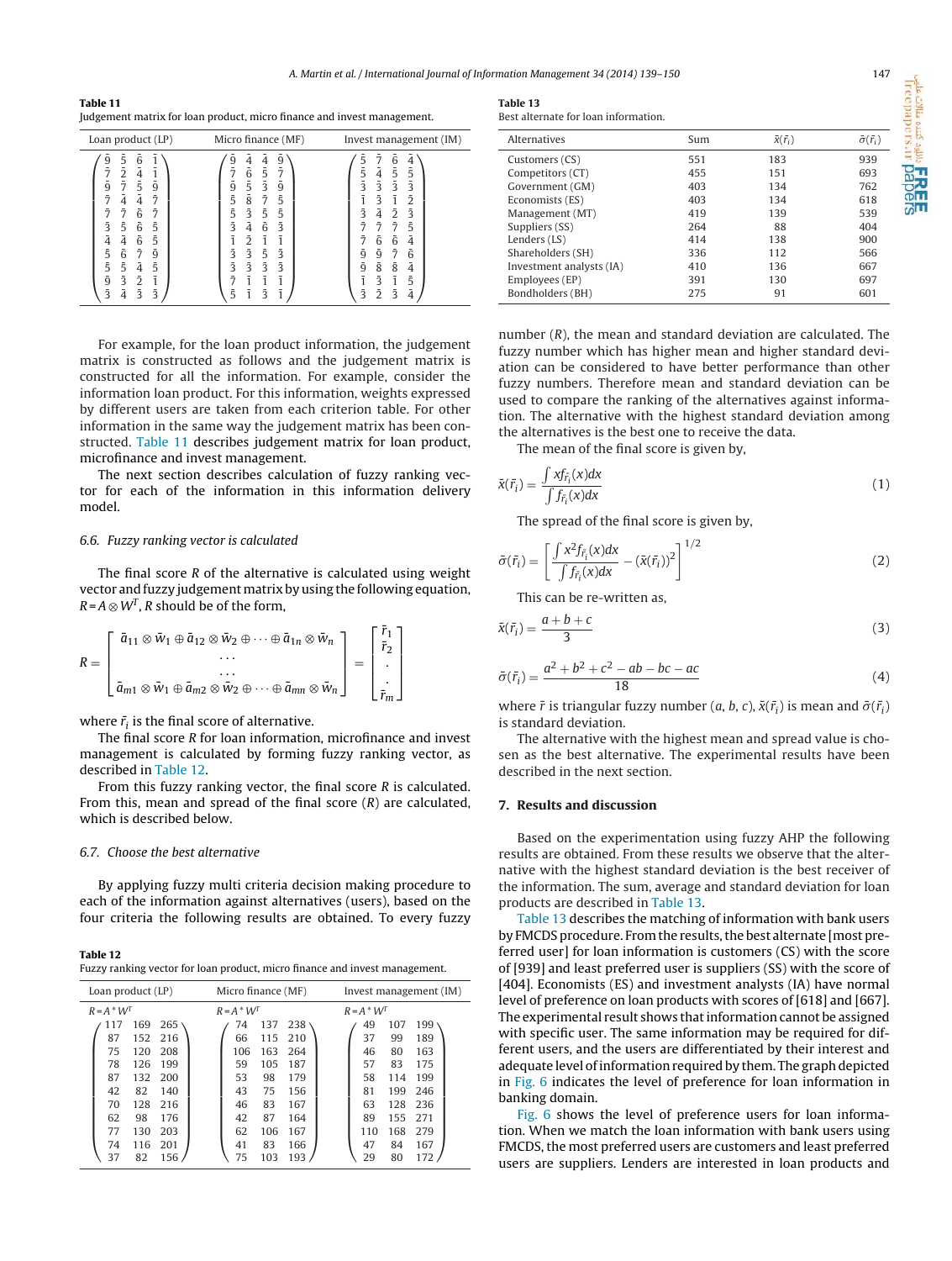<span id="page-8-0"></span>Judgement matrix for loan product, micro finance and invest management.

| Loan product (LP)                                                                                                                                                                                                                                                                                                                                                                                                                                                           | Micro finance (MF)                                                                                                                                                                                                                                                                                                                                                                                | Invest management (IM)                                                                                                                                                                                                                                                                                                                                                                                               |
|-----------------------------------------------------------------------------------------------------------------------------------------------------------------------------------------------------------------------------------------------------------------------------------------------------------------------------------------------------------------------------------------------------------------------------------------------------------------------------|---------------------------------------------------------------------------------------------------------------------------------------------------------------------------------------------------------------------------------------------------------------------------------------------------------------------------------------------------------------------------------------------------|----------------------------------------------------------------------------------------------------------------------------------------------------------------------------------------------------------------------------------------------------------------------------------------------------------------------------------------------------------------------------------------------------------------------|
| 5<br>6<br>$\mathbf{1}$<br>9<br>$\overline{2}$<br>$\overline{4}$<br>$\bar{7}$<br>$\mathbf{1}$<br>$\bar{7}$<br>$\bar{5}$<br>ğ<br>ğ,<br>7<br>4<br>ā,<br>7<br>Ğ.<br>7<br>7<br>$\bar{6}$<br>$\bar{3}$<br>$\bar{5}$<br>5<br>$\bar{6}$<br>$\overline{5}$<br>$\bar{4}$<br>$\overline{4}$<br>$\overline{9}$<br>$\bar{5}$<br>Ğ<br>$\bar{7}$<br>$\bar{5}$<br>$\bar{5}$<br>$\bar{5}$<br>$\bar{4}$<br>ğ,<br>ą<br>$\overline{2}$<br>1<br>$\bar{z}$<br>$\bar{3}$<br>$\bar{4}$<br>$\bar{3}$ | $\overline{4}$<br>9<br>$\overline{4}$<br>9<br>÷,<br>$\bar{6}$<br>$\bar{5}$<br>7<br>$\bar{3}$<br>ō,<br>$\bar{5}$<br>ğ,<br>$\bar{5}$<br>$\bar{7}$<br>$\bar{8}$<br>$\bar{5}$<br>Ŝ,<br>$\bar{3}$<br>5<br>$\bar{5}$<br>$\bar{6}$<br>ş<br>$\bar{4}$<br>$\bar{3}$<br>$\bar{2}$<br>$\mathbf{1}$<br>$\bar{3}$<br>ā<br>$\bar{5}$<br>3<br>ş<br>$\bar{3}$<br>$\overline{3}$<br>ą<br>1<br>Ā,<br>$\bar{3}$<br>ī | 6<br>7<br>4<br>5<br>5<br>$\bar{4}$<br>$\bar{5}$<br>5<br>$\bar{3}$<br>$\bar{3}$<br>$\overline{3}$<br>ą<br>$\bar{3}$<br>ī<br>2<br>$\bar{3}$<br>$\bar{4}$<br>$\bar{2}$<br>ā<br>$\bar{7}$<br>$\bar{7}$<br>$\bar{7}$<br>Ŝ.<br>$\bar{6}$<br>7<br>$\overline{6}$<br>4<br>$\bar{7}$<br>ō,<br>ō,<br>Ğ<br>ō,<br>Š.<br>$\bar{8}$<br>4<br>ī<br>$\bar{3}$<br>5<br>ī<br>$\bar{z}$<br>$\bar{2}$<br>$\overline{3}$<br>$\overline{4}$ |

For example, for the loan product information, the judgement matrix is constructed as follows and the judgement matrix is constructed for all the information. For example, consider the information loan product. For this information, weights expressed by different users are taken from each criterion table. For other information in the same way the judgement matrix has been constructed. Table 11 describes judgement matrix for loan product, microfinance and invest management.

The next section describes calculation of fuzzy ranking vector for each of the information in this information delivery model.

#### 6.6. Fuzzy ranking vector is calculated

The final score R of the alternative is calculated using weight vector and fuzzy judgementmatrix by using the following equation,  $R = A \otimes W^T$ , R should be of the form,

$$
R = \begin{bmatrix} \bar{a}_{11} \otimes \bar{w}_1 \oplus \bar{a}_{12} \otimes \bar{w}_2 \oplus \cdots \oplus \bar{a}_{1n} \otimes \bar{w}_n \\ \cdots \\ \bar{a}_{m1} \otimes \bar{w}_1 \oplus \bar{a}_{m2} \otimes \bar{w}_2 \oplus \cdots \oplus \bar{a}_{mn} \otimes \bar{w}_n \end{bmatrix} = \begin{bmatrix} \bar{r}_1 \\ \bar{r}_2 \\ \vdots \\ \bar{r}_m \end{bmatrix}
$$

where  $\bar{r}_i$  is the final score of alternative.

The final score R for loan information, microfinance and invest management is calculated by forming fuzzy ranking vector, as described in Table 12.

From this fuzzy ranking vector, the final score R is calculated. From this, mean and spread of the final score  $(R)$  are calculated, which is described below.

#### 6.7. Choose the best alternative

By applying fuzzy multi criteria decision making procedure to each of the information against alternatives (users), based on the four criteria the following results are obtained. To every fuzzy

**Table 12** Fuzzy ranking vector for loan product, micro finance and invest management.

| Loan product (LP) | Micro finance (MF) | Invest management (IM) |
|-------------------|--------------------|------------------------|
| $R = A^* W^T$     | $R = A^* W^T$      | $R = A^* W^T$          |
| 169               | 137                | 107                    |
| $265 \vee$        | 238'               | 199 <sup>°</sup>       |
| 117               | 74                 | 49                     |
| 87                | 66                 | 37                     |
| 152               | 115                | 99                     |
| 216               | 210                | 189                    |
| 75                | 163                | 46                     |
| 120               | 106                | 80                     |
| 208               | 264                | 163                    |
| 126               | 105                | 57                     |
| 78                | 187                | 83                     |
| 199               | 59                 | 175                    |
| 132               | 53                 | 58                     |
| 87                | 98                 | 114                    |
| 200               | 179                | 199                    |
| 42                | 43                 | 81                     |
| 82                | 75                 | 199                    |
| 140               | 156                | 246                    |
| 128               | 46                 | 63                     |
| 70                | 83                 | 128                    |
| 216               | 167                | 236                    |
| 62                | 87                 | 155                    |
| 98                | 42                 | 89                     |
| 176               | 164                | 271                    |
| 130               | 62                 | 168                    |
| 77                | 106                | 279                    |
| 203               | 167                | 110                    |
| 116               | 83                 | 167                    |
| 74                | 166                | 84                     |
| 201               | 41                 | 47                     |
| 82<br>156<br>37   | 75<br>103<br>193   | 29<br>80               |

**Table 13** Best alternate for loan information.

| Alternatives             | Sum | $\bar{x}(\bar{r}_i)$ | $\bar{\sigma}(\bar{r}_i)$ |
|--------------------------|-----|----------------------|---------------------------|
| Customers (CS)           | 551 | 183                  | 939                       |
| Competitors (CT)         | 455 | 151                  | 693                       |
| Government (GM)          | 403 | 134                  | 762                       |
| Economists (ES)          | 403 | 134                  | 618                       |
| Management (MT)          | 419 | 139                  | 539                       |
| Suppliers (SS)           | 264 | 88                   | 404                       |
| Lenders (LS)             | 414 | 138                  | 900                       |
| Shareholders (SH)        | 336 | 112                  | 566                       |
| Investment analysts (IA) | 410 | 136                  | 667                       |
| Employees (EP)           | 391 | 130                  | 697                       |
| Bondholders (BH)         | 275 | 91                   | 601                       |

number  $(R)$ , the mean and standard deviation are calculated. The fuzzy number which has higher mean and higher standard deviation can be considered to have better performance than other fuzzy numbers. Therefore mean and standard deviation can be used to compare the ranking of the alternatives against information. The alternative with the highest standard deviation among the alternatives is the best one to receive the data.

The mean of the final score is given by,

$$
\bar{x}(\bar{r}_i) = \frac{\int x f_{\bar{r}_i}(x) dx}{\int f_{\bar{r}_i}(x) dx}
$$
\n(1)

The spread of the final score is given by,

$$
\bar{\sigma}(\bar{r}_i) = \left[\frac{\int x^2 f_{\bar{r}_i}(x) dx}{\int f_{\bar{r}_i}(x) dx} - (\bar{x}(\bar{r}_i))^2\right]^{1/2}
$$
\n(2)

This can be re-written as,

$$
\bar{x}(\bar{r}_i) = \frac{a+b+c}{3} \tag{3}
$$

$$
\bar{\sigma}(\bar{r}_i) = \frac{a^2 + b^2 + c^2 - ab - bc - ac}{18} \tag{4}
$$

where  $\bar{r}$  is triangular fuzzy number (a, b, c),  $\bar{x}(\bar{r}_i)$  is mean and  $\bar{\sigma}(\bar{r}_i)$ is standard deviation.

The alternative with the highest mean and spread value is chosen as the best alternative. The experimental results have been described in the next section.

#### **7. Results and discussion**

Based on the experimentation using fuzzy AHP the following results are obtained. From these results we observe that the alternative with the highest standard deviation is the best receiver of the information. The sum, average and standard deviation for loan products are described in Table 13.

Table 13 describes the matching of information with bank users by FMCDS procedure. From the results, the best alternate [most preferred user] for loan information is customers (CS) with the score of [939] and least preferred user is suppliers (SS) with the score of [404]. Economists (ES) and investment analysts (IA) have normal level of preference on loan products with scores of [618] and [667]. The experimental result shows that information cannot be assigned with specific user. The same information may be required for different users, and the users are differentiated by their interest and adequate level of information required by them. The graph depicted in [Fig.](#page-9-0) 6 indicates the level of preference for loan information in banking domain.

[Fig.](#page-9-0) 6 shows the level of preference users for loan information. When we match the loan information with bank users using FMCDS, the most preferred users are customers and least preferred users are suppliers. Lenders are interested in loan products and

Je CNE o alla PRE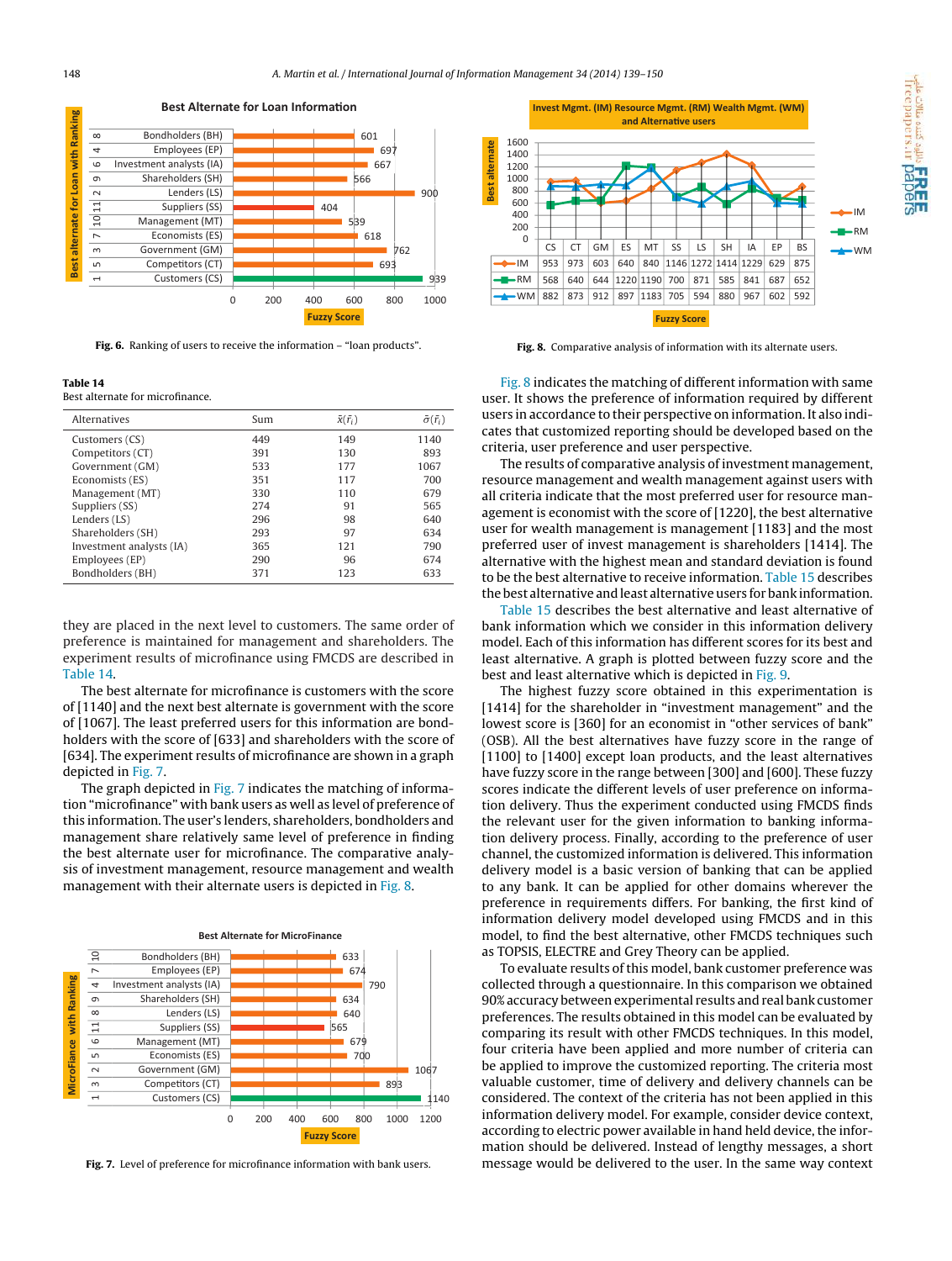

<span id="page-9-0"></span>

**Fig. 6.** Ranking of users to receive the information – "loan products".

**Table 14**

Best alternate for microfinance.

| <b>Alternatives</b>      | Sum | $\bar{x}(\bar{r}_i)$ | $\bar{\sigma}(\bar{r}_i)$ |
|--------------------------|-----|----------------------|---------------------------|
| Customers (CS)           | 449 | 149                  | 1140                      |
| Competitors (CT)         | 391 | 130                  | 893                       |
| Government (GM)          | 533 | 177                  | 1067                      |
| Economists (ES)          | 351 | 117                  | 700                       |
| Management (MT)          | 330 | 110                  | 679                       |
| Suppliers (SS)           | 274 | 91                   | 565                       |
| Lenders (LS)             | 296 | 98                   | 640                       |
| Shareholders (SH)        | 293 | 97                   | 634                       |
| Investment analysts (IA) | 365 | 121                  | 790                       |
| Employees (EP)           | 290 | 96                   | 674                       |
| Bondholders (BH)         | 371 | 123                  | 633                       |
|                          |     |                      |                           |

they are placed in the next level to customers. The same order of preference is maintained for management and shareholders. The experiment results of microfinance using FMCDS are described in Table 14.

The best alternate for microfinance is customers with the score of [1140] and the next best alternate is government with the score of [1067]. The least preferred users for this information are bondholders with the score of [633] and shareholders with the score of [634]. The experiment results of microfinance are shown in a graph depicted in Fig. 7.

The graph depicted in Fig. 7 indicates the matching of information "microfinance" with bank users as well as level of preference of this information. The user's lenders, shareholders, bondholders and management share relatively same level of preference in finding the best alternate user for microfinance. The comparative analysis of investment management, resource management and wealth management with their alternate users is depicted in Fig. 8.



**Fig. 7.** Level of preference for microfinance information with bank users.



**Fig. 8.** Comparative analysis of information with its alternate users.

Fig. 8 indicates the matching of different information with same user. It shows the preference of information required by different users in accordance to their perspective on information. It also indicates that customized reporting should be developed based on the criteria, user preference and user perspective.

The results of comparative analysis of investment management, resource management and wealth management against users with all criteria indicate that the most preferred user for resource management is economist with the score of [1220], the best alternative user for wealth management is management [1183] and the most preferred user of invest management is shareholders [1414]. The alternative with the highest mean and standard deviation is found to be the best alternative to receive information. [Table](#page-10-0) 15 describes the best alternative and least alternative users for bank information.

[Table](#page-10-0) 15 describes the best alternative and least alternative of bank information which we consider in this information delivery model. Each of this information has different scores for its best and least alternative. A graph is plotted between fuzzy score and the best and least alternative which is depicted in [Fig.](#page-10-0) 9.

The highest fuzzy score obtained in this experimentation is [1414] for the shareholder in "investment management" and the lowest score is [360] for an economist in "other services of bank" (OSB). All the best alternatives have fuzzy score in the range of [1100] to [1400] except loan products, and the least alternatives have fuzzy score in the range between [300] and [600]. These fuzzy scores indicate the different levels of user preference on information delivery. Thus the experiment conducted using FMCDS finds the relevant user for the given information to banking information delivery process. Finally, according to the preference of user channel, the customized information is delivered. This information delivery model is a basic version of banking that can be applied to any bank. It can be applied for other domains wherever the preference in requirements differs. For banking, the first kind of information delivery model developed using FMCDS and in this model, to find the best alternative, other FMCDS techniques such as TOPSIS, ELECTRE and Grey Theory can be applied.

To evaluate results of this model, bank customer preference was collected through a questionnaire. In this comparison we obtained 90%accuracy between experimental results and real bank customer preferences. The results obtained in this model can be evaluated by comparing its result with other FMCDS techniques. In this model, four criteria have been applied and more number of criteria can be applied to improve the customized reporting. The criteria most valuable customer, time of delivery and delivery channels can be considered. The context of the criteria has not been applied in this information delivery model. For example, consider device context, according to electric power available in hand held device, the information should be delivered. Instead of lengthy messages, a short message would be delivered to the user. In the same way context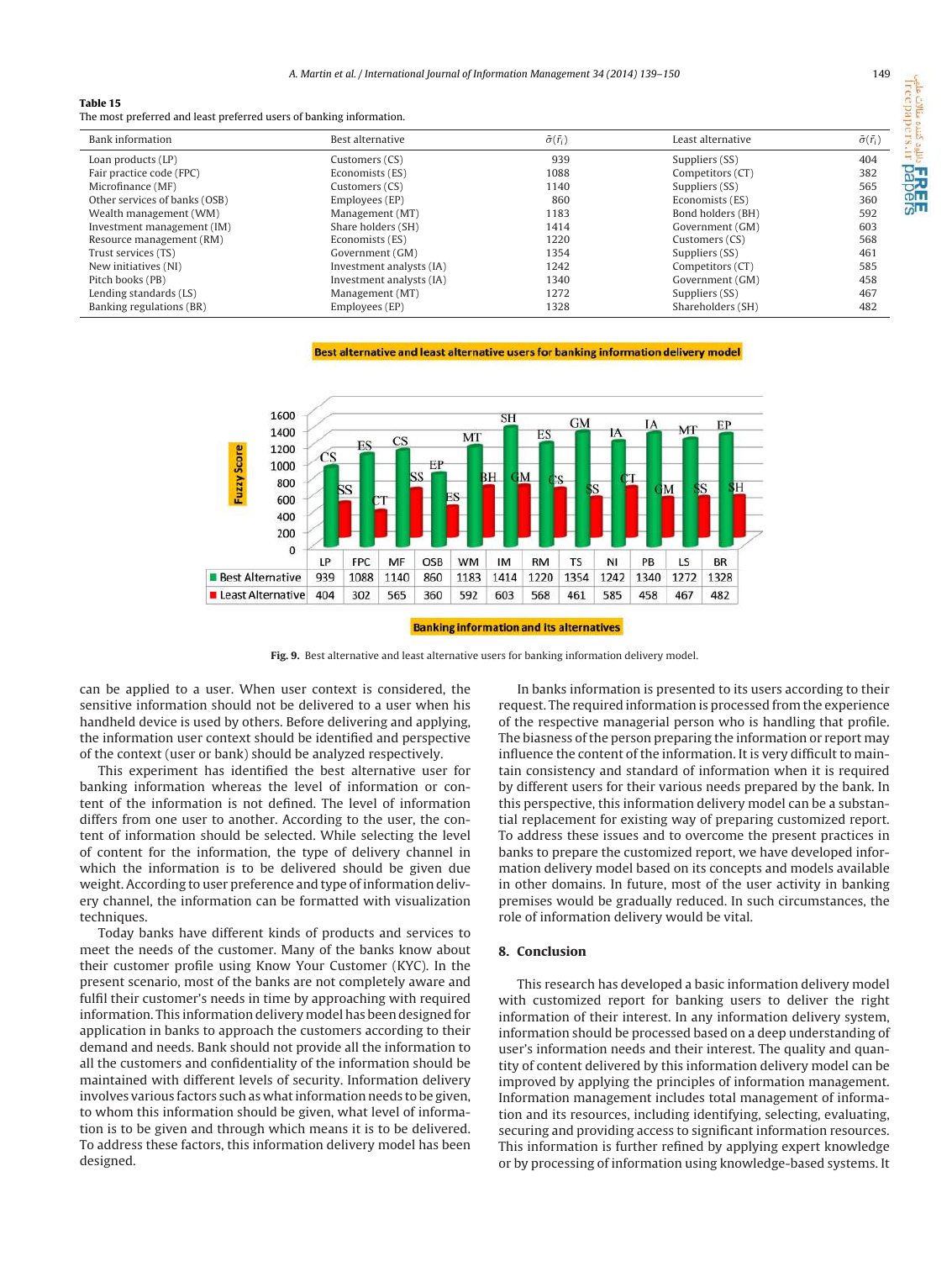<span id="page-10-0"></span>

|                                                                                  | - 177                    |                           |                   |                                    |
|----------------------------------------------------------------------------------|--------------------------|---------------------------|-------------------|------------------------------------|
| Table 15<br>The most preferred and least preferred users of banking information. |                          |                           |                   | دانلود کننده مقالات<br>Tris papers |
| <b>Bank</b> information                                                          | Best alternative         | $\bar{\sigma}(\bar{r}_i)$ | Least alternative | $\bar{\sigma}(\bar{r}_i)$          |
| Loan products (LP)                                                               | Customers (CS)           | 939                       | Suppliers (SS)    | 404                                |
| Fair practice code (FPC)                                                         | Economists (ES)          | 1088                      | Competitors (CT)  | 382                                |
| Microfinance (MF)                                                                | Customers (CS)           | 1140                      | Suppliers (SS)    | $rac{1}{100}$<br>565               |
| Other services of banks (OSB)                                                    | Employees (EP)           | 860                       | Economists (ES)   | 360                                |
| Wealth management (WM)                                                           | Management (MT)          | 1183                      | Bond holders (BH) | लग<br>592                          |
| Investment management (IM)                                                       | Share holders (SH)       | 1414                      | Government (GM)   | 603                                |
| Resource management (RM)                                                         | Economists (ES)          | 1220                      | Customers (CS)    | 568                                |
| Trust services (TS)                                                              | Government (GM)          | 1354                      | Suppliers (SS)    | 461                                |
| New initiatives (NI)                                                             | Investment analysts (IA) | 1242                      | Competitors (CT)  | 585                                |
| Pitch books (PB)                                                                 | Investment analysts (IA) | 1340                      | Government (GM)   | 458                                |
| Lending standards (LS)                                                           | Management (MT)          | 1272                      | Suppliers (SS)    | 467                                |
| Banking regulations (BR)                                                         | Employees (EP)           | 1328                      | Shareholders (SH) | 482                                |

Best alternative and least alternative users for banking information delivery model



**Banking information and its alternatives** 

**Fig. 9.** Best alternative and least alternative users for banking information delivery model.

can be applied to a user. When user context is considered, the sensitive information should not be delivered to a user when his handheld device is used by others. Before delivering and applying, the information user context should be identified and perspective of the context (user or bank) should be analyzed respectively.

This experiment has identified the best alternative user for banking information whereas the level of information or content of the information is not defined. The level of information differs from one user to another. According to the user, the content of information should be selected. While selecting the level of content for the information, the type of delivery channel in which the information is to be delivered should be given due weight. According to user preference and type of information delivery channel, the information can be formatted with visualization techniques.

Today banks have different kinds of products and services to meet the needs of the customer. Many of the banks know about their customer profile using Know Your Customer (KYC). In the present scenario, most of the banks are not completely aware and fulfil their customer's needs in time by approaching with required information. This information delivery model has been designed for application in banks to approach the customers according to their demand and needs. Bank should not provide all the information to all the customers and confidentiality of the information should be maintained with different levels of security. Information delivery involves various factors such as what information needs to be given, to whom this information should be given, what level of information is to be given and through which means it is to be delivered. To address these factors, this information delivery model has been designed.

In banks information is presented to its users according to their request. The required information is processed from the experience of the respective managerial person who is handling that profile. The biasness of the person preparing the information or report may influence the content of the information. It is very difficult to maintain consistency and standard of information when it is required by different users for their various needs prepared by the bank. In this perspective, this information delivery model can be a substantial replacement for existing way of preparing customized report. To address these issues and to overcome the present practices in banks to prepare the customized report, we have developed information delivery model based on its concepts and models available in other domains. In future, most of the user activity in banking premises would be gradually reduced. In such circumstances, the role of information delivery would be vital.

#### **8. Conclusion**

This research has developed a basic information delivery model with customized report for banking users to deliver the right information of their interest. In any information delivery system, information should be processed based on a deep understanding of user's information needs and their interest. The quality and quantity of content delivered by this information delivery model can be improved by applying the principles of information management. Information management includes total management of information and its resources, including identifying, selecting, evaluating, securing and providing access to significant information resources. This information is further refined by applying expert knowledge or by processing of information using knowledge-based systems. It